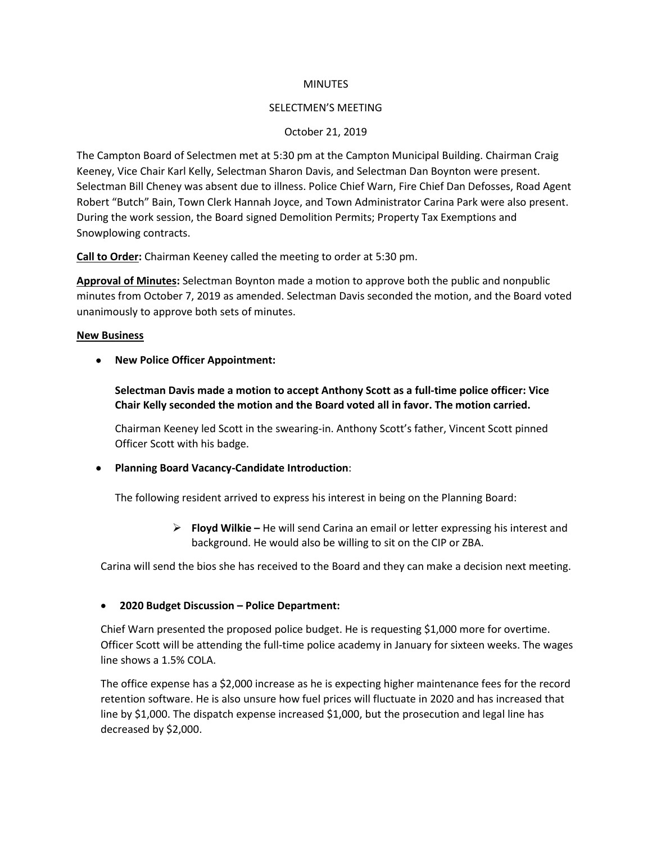#### **MINUTES**

### SELECTMEN'S MEETING

## October 21, 2019

The Campton Board of Selectmen met at 5:30 pm at the Campton Municipal Building. Chairman Craig Keeney, Vice Chair Karl Kelly, Selectman Sharon Davis, and Selectman Dan Boynton were present. Selectman Bill Cheney was absent due to illness. Police Chief Warn, Fire Chief Dan Defosses, Road Agent Robert "Butch" Bain, Town Clerk Hannah Joyce, and Town Administrator Carina Park were also present. During the work session, the Board signed Demolition Permits; Property Tax Exemptions and Snowplowing contracts.

**Call to Order:** Chairman Keeney called the meeting to order at 5:30 pm.

**Approval of Minutes:** Selectman Boynton made a motion to approve both the public and nonpublic minutes from October 7, 2019 as amended. Selectman Davis seconded the motion, and the Board voted unanimously to approve both sets of minutes.

### **New Business**

• **New Police Officer Appointment:** 

**Selectman Davis made a motion to accept Anthony Scott as a full-time police officer: Vice Chair Kelly seconded the motion and the Board voted all in favor. The motion carried.**

Chairman Keeney led Scott in the swearing-in. Anthony Scott's father, Vincent Scott pinned Officer Scott with his badge.

## • **Planning Board Vacancy-Candidate Introduction**:

The following resident arrived to express his interest in being on the Planning Board:

➢ **Floyd Wilkie –** He will send Carina an email or letter expressing his interest and background. He would also be willing to sit on the CIP or ZBA.

Carina will send the bios she has received to the Board and they can make a decision next meeting.

## • **2020 Budget Discussion – Police Department:**

Chief Warn presented the proposed police budget. He is requesting \$1,000 more for overtime. Officer Scott will be attending the full-time police academy in January for sixteen weeks. The wages line shows a 1.5% COLA.

The office expense has a \$2,000 increase as he is expecting higher maintenance fees for the record retention software. He is also unsure how fuel prices will fluctuate in 2020 and has increased that line by \$1,000. The dispatch expense increased \$1,000, but the prosecution and legal line has decreased by \$2,000.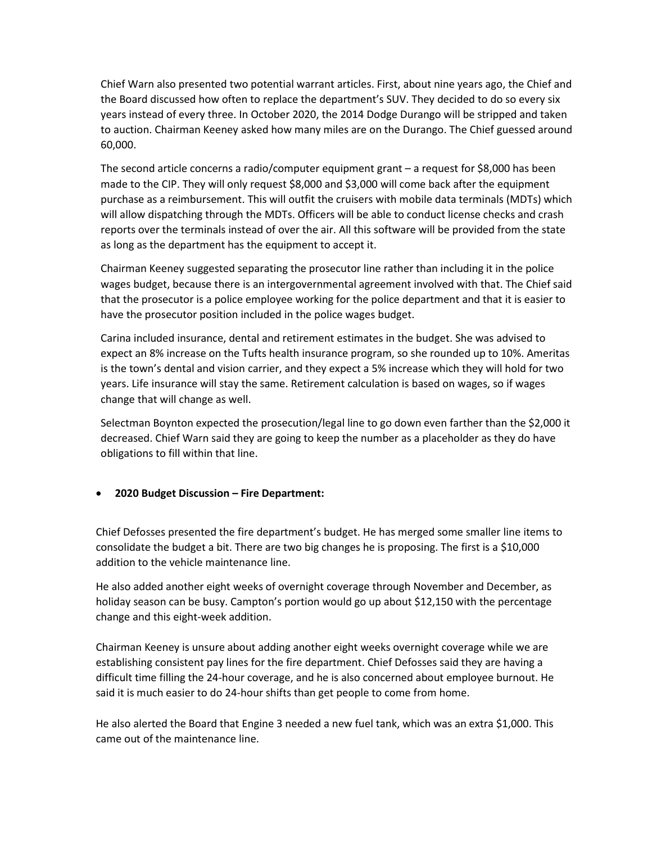Chief Warn also presented two potential warrant articles. First, about nine years ago, the Chief and the Board discussed how often to replace the department's SUV. They decided to do so every six years instead of every three. In October 2020, the 2014 Dodge Durango will be stripped and taken to auction. Chairman Keeney asked how many miles are on the Durango. The Chief guessed around 60,000.

The second article concerns a radio/computer equipment grant – a request for \$8,000 has been made to the CIP. They will only request \$8,000 and \$3,000 will come back after the equipment purchase as a reimbursement. This will outfit the cruisers with mobile data terminals (MDTs) which will allow dispatching through the MDTs. Officers will be able to conduct license checks and crash reports over the terminals instead of over the air. All this software will be provided from the state as long as the department has the equipment to accept it.

Chairman Keeney suggested separating the prosecutor line rather than including it in the police wages budget, because there is an intergovernmental agreement involved with that. The Chief said that the prosecutor is a police employee working for the police department and that it is easier to have the prosecutor position included in the police wages budget.

Carina included insurance, dental and retirement estimates in the budget. She was advised to expect an 8% increase on the Tufts health insurance program, so she rounded up to 10%. Ameritas is the town's dental and vision carrier, and they expect a 5% increase which they will hold for two years. Life insurance will stay the same. Retirement calculation is based on wages, so if wages change that will change as well.

Selectman Boynton expected the prosecution/legal line to go down even farther than the \$2,000 it decreased. Chief Warn said they are going to keep the number as a placeholder as they do have obligations to fill within that line.

## • **2020 Budget Discussion – Fire Department:**

Chief Defosses presented the fire department's budget. He has merged some smaller line items to consolidate the budget a bit. There are two big changes he is proposing. The first is a \$10,000 addition to the vehicle maintenance line.

He also added another eight weeks of overnight coverage through November and December, as holiday season can be busy. Campton's portion would go up about \$12,150 with the percentage change and this eight-week addition.

Chairman Keeney is unsure about adding another eight weeks overnight coverage while we are establishing consistent pay lines for the fire department. Chief Defosses said they are having a difficult time filling the 24-hour coverage, and he is also concerned about employee burnout. He said it is much easier to do 24-hour shifts than get people to come from home.

He also alerted the Board that Engine 3 needed a new fuel tank, which was an extra \$1,000. This came out of the maintenance line.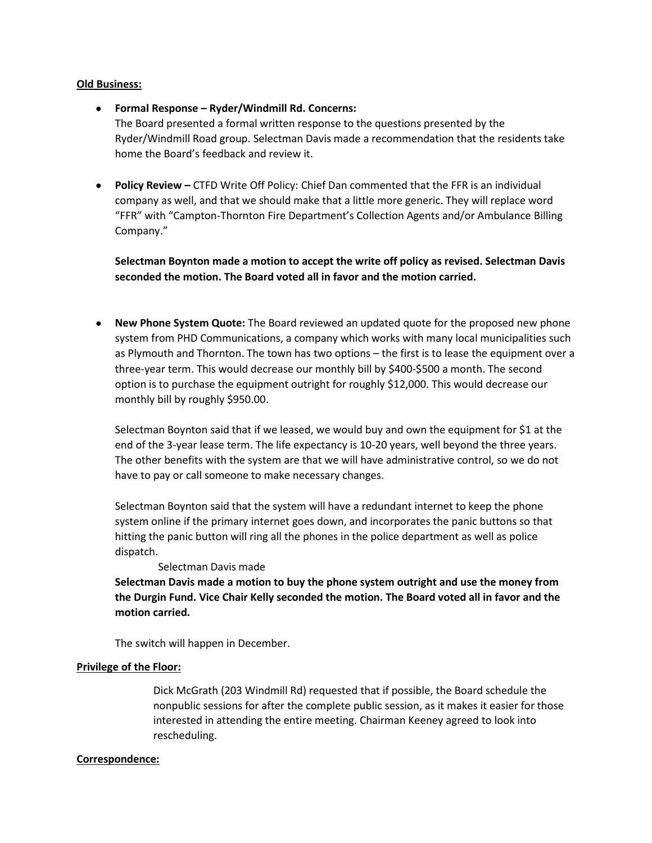#### **Old Business:**

• **Formal Response – Ryder/Windmill Rd. Concerns:** 

The Board presented a formal written response to the questions presented by the Ryder/Windmill Road group. Selectman Davis made a recommendation that the residents take home the Board's feedback and review it.

• **Policy Review –** CTFD Write Off Policy: Chief Dan commented that the FFR is an individual company as well, and that we should make that a little more generic. They will replace word "FFR" with "Campton-Thornton Fire Department's Collection Agents and/or Ambulance Billing Company."

**Selectman Boynton made a motion to accept the write off policy as revised. Selectman Davis seconded the motion. The Board voted all in favor and the motion carried.**

• **New Phone System Quote:** The Board reviewed an updated quote for the proposed new phone system from PHD Communications, a company which works with many local municipalities such as Plymouth and Thornton. The town has two options – the first is to lease the equipment over a three-year term. This would decrease our monthly bill by \$400-\$500 a month. The second option is to purchase the equipment outright for roughly \$12,000. This would decrease our monthly bill by roughly \$950.00.

Selectman Boynton said that if we leased, we would buy and own the equipment for \$1 at the end of the 3-year lease term. The life expectancy is 10-20 years, well beyond the three years. The other benefits with the system are that we will have administrative control, so we do not have to pay or call someone to make necessary changes.

Selectman Boynton said that the system will have a redundant internet to keep the phone system online if the primary internet goes down, and incorporates the panic buttons so that hitting the panic button will ring all the phones in the police department as well as police dispatch.

Selectman Davis made

**Selectman Davis made a motion to buy the phone system outright and use the money from the Durgin Fund. Vice Chair Kelly seconded the motion. The Board voted all in favor and the motion carried.**

The switch will happen in December.

## **Privilege of the Floor:**

Dick McGrath (203 Windmill Rd) requested that if possible, the Board schedule the nonpublic sessions for after the complete public session, as it makes it easier for those interested in attending the entire meeting. Chairman Keeney agreed to look into rescheduling.

#### **Correspondence:**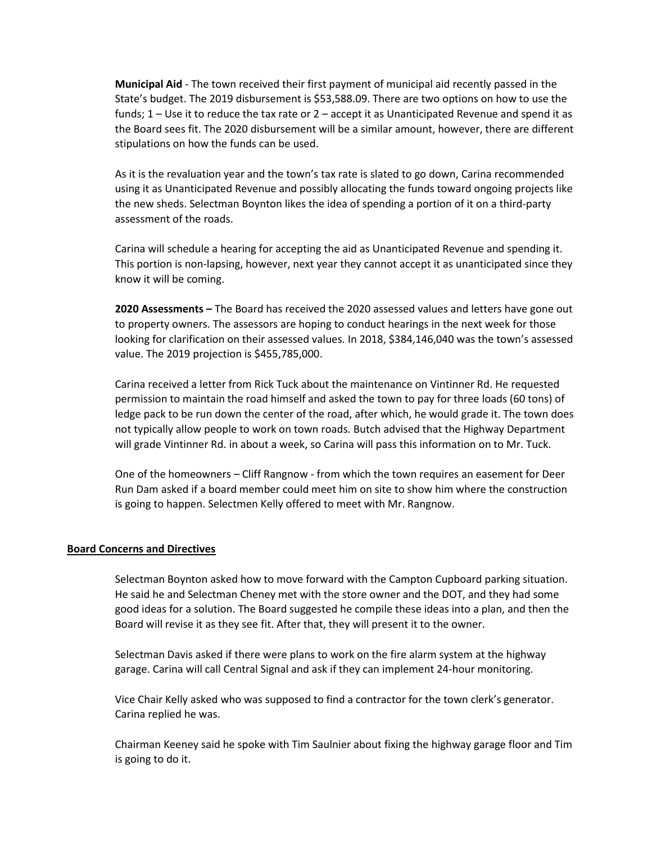**Municipal Aid** - The town received their first payment of municipal aid recently passed in the State's budget. The 2019 disbursement is \$53,588.09. There are two options on how to use the funds; 1 – Use it to reduce the tax rate or 2 – accept it as Unanticipated Revenue and spend it as the Board sees fit. The 2020 disbursement will be a similar amount, however, there are different stipulations on how the funds can be used.

As it is the revaluation year and the town's tax rate is slated to go down, Carina recommended using it as Unanticipated Revenue and possibly allocating the funds toward ongoing projects like the new sheds. Selectman Boynton likes the idea of spending a portion of it on a third-party assessment of the roads.

Carina will schedule a hearing for accepting the aid as Unanticipated Revenue and spending it. This portion is non-lapsing, however, next year they cannot accept it as unanticipated since they know it will be coming.

**2020 Assessments –** The Board has received the 2020 assessed values and letters have gone out to property owners. The assessors are hoping to conduct hearings in the next week for those looking for clarification on their assessed values. In 2018, \$384,146,040 was the town's assessed value. The 2019 projection is \$455,785,000.

Carina received a letter from Rick Tuck about the maintenance on Vintinner Rd. He requested permission to maintain the road himself and asked the town to pay for three loads (60 tons) of ledge pack to be run down the center of the road, after which, he would grade it. The town does not typically allow people to work on town roads. Butch advised that the Highway Department will grade Vintinner Rd. in about a week, so Carina will pass this information on to Mr. Tuck.

One of the homeowners – Cliff Rangnow - from which the town requires an easement for Deer Run Dam asked if a board member could meet him on site to show him where the construction is going to happen. Selectmen Kelly offered to meet with Mr. Rangnow.

#### **Board Concerns and Directives**

Selectman Boynton asked how to move forward with the Campton Cupboard parking situation. He said he and Selectman Cheney met with the store owner and the DOT, and they had some good ideas for a solution. The Board suggested he compile these ideas into a plan, and then the Board will revise it as they see fit. After that, they will present it to the owner.

Selectman Davis asked if there were plans to work on the fire alarm system at the highway garage. Carina will call Central Signal and ask if they can implement 24-hour monitoring.

Vice Chair Kelly asked who was supposed to find a contractor for the town clerk's generator. Carina replied he was.

Chairman Keeney said he spoke with Tim Saulnier about fixing the highway garage floor and Tim is going to do it.